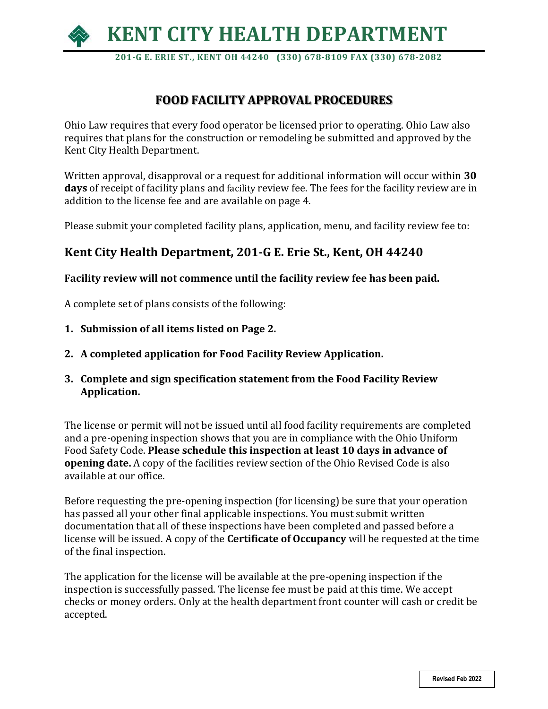

 **201-G E. ERIE ST., KENT OH 44240 (330) 678-8109 FAX (330) 678-2082**

# **FOOD FACILITY APPROVAL PROCEDURES**

Ohio Law requires that every food operator be licensed prior to operating. Ohio Law also requires that plans for the construction or remodeling be submitted and approved by the Kent City Health Department.

Written approval, disapproval or a request for additional information will occur within **30 days** of receipt of facility plans and facility review fee. The fees for the facility review are in addition to the license fee and are available on page 4.

Please submit your completed facility plans, application, menu, and facility review fee to:

# **Kent City Health Department, 201-G E. Erie St., Kent, OH 44240**

### **Facility review will not commence until the facility review fee has been paid.**

A complete set of plans consists of the following:

- **1. Submission of all items listed on Page 2.**
- **2. A completed application for Food Facility Review Application.**
- **3. Complete and sign specification statement from the Food Facility Review Application.**

The license or permit will not be issued until all food facility requirements are completed and a pre-opening inspection shows that you are in compliance with the Ohio Uniform Food Safety Code. **Please schedule this inspection at least 10 days in advance of opening date.** A copy of the facilities review section of the Ohio Revised Code is also available at our office.

Before requesting the pre-opening inspection (for licensing) be sure that your operation has passed all your other final applicable inspections. You must submit written documentation that all of these inspections have been completed and passed before a license will be issued. A copy of the **Certificate of Occupancy** will be requested at the time of the final inspection.

The application for the license will be available at the pre-opening inspection if the inspection is successfully passed. The license fee must be paid at this time. We accept checks or money orders. Only at the health department front counter will cash or credit be accepted.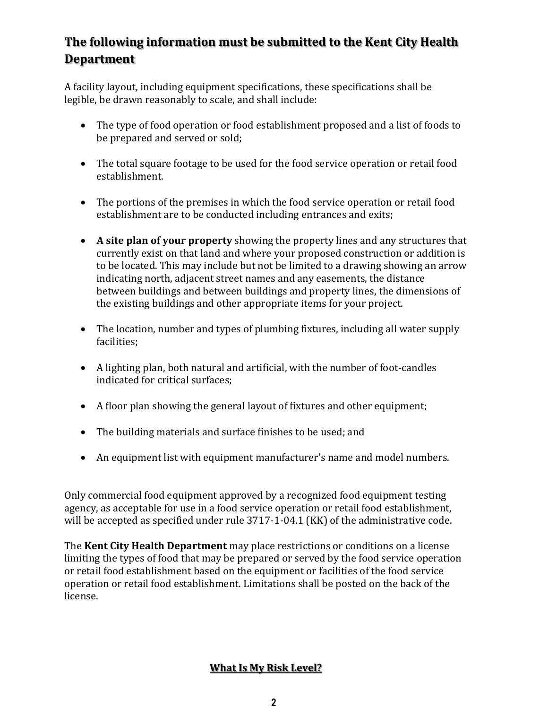# **The following information must be submitted to the Kent City Health Department**

A facility layout, including equipment specifications, these specifications shall be legible, be drawn reasonably to scale, and shall include:

- The type of food operation or food establishment proposed and a list of foods to be prepared and served or sold;
- The total square footage to be used for the food service operation or retail food establishment.
- The portions of the premises in which the food service operation or retail food establishment are to be conducted including entrances and exits;
- **A site plan of your property** showing the property lines and any structures that currently exist on that land and where your proposed construction or addition is to be located. This may include but not be limited to a drawing showing an arrow indicating north, adjacent street names and any easements, the distance between buildings and between buildings and property lines, the dimensions of the existing buildings and other appropriate items for your project.
- The location, number and types of plumbing fixtures, including all water supply facilities;
- A lighting plan, both natural and artificial, with the number of foot-candles indicated for critical surfaces;
- A floor plan showing the general layout of fixtures and other equipment;
- The building materials and surface finishes to be used; and
- An equipment list with equipment manufacturer's name and model numbers.

Only commercial food equipment approved by a recognized food equipment testing agency, as acceptable for use in a food service operation or retail food establishment, will be accepted as specified under rule 3717-1-04.1 (KK) of the administrative code.

The **Kent City Health Department** may place restrictions or conditions on a license limiting the types of food that may be prepared or served by the food service operation or retail food establishment based on the equipment or facilities of the food service operation or retail food establishment. Limitations shall be posted on the back of the license.

### **What Is My Risk Level?**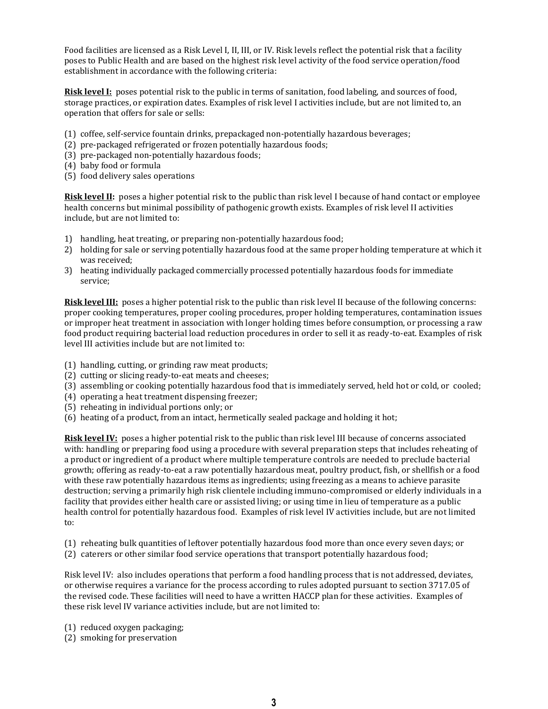Food facilities are licensed as a Risk Level I, II, III, or IV. Risk levels reflect the potential risk that a facility poses to Public Health and are based on the highest risk level activity of the food service operation/food establishment in accordance with the following criteria:

**Risk level I:** poses potential risk to the public in terms of sanitation, food labeling, and sources of food, storage practices, or expiration dates. Examples of risk level I activities include, but are not limited to, an operation that offers for sale or sells:

- (1) coffee, self-service fountain drinks, prepackaged non-potentially hazardous beverages;
- (2) pre-packaged refrigerated or frozen potentially hazardous foods;
- (3) pre-packaged non-potentially hazardous foods;
- (4) baby food or formula
- (5) food delivery sales operations

**Risk level II:** poses a higher potential risk to the public than risk level I because of hand contact or employee health concerns but minimal possibility of pathogenic growth exists. Examples of risk level II activities include, but are not limited to:

- 1) handling, heat treating, or preparing non-potentially hazardous food;
- 2) holding for sale or serving potentially hazardous food at the same proper holding temperature at which it was received;
- 3) heating individually packaged commercially processed potentially hazardous foods for immediate service;

**Risk level III:** poses a higher potential risk to the public than risk level II because of the following concerns: proper cooking temperatures, proper cooling procedures, proper holding temperatures, contamination issues or improper heat treatment in association with longer holding times before consumption, or processing a raw food product requiring bacterial load reduction procedures in order to sell it as ready-to-eat. Examples of risk level III activities include but are not limited to:

- (1) handling, cutting, or grinding raw meat products;
- (2) cutting or slicing ready-to-eat meats and cheeses;
- (3) assembling or cooking potentially hazardous food that is immediately served, held hot or cold, or cooled;
- (4) operating a heat treatment dispensing freezer;
- (5) reheating in individual portions only; or
- (6) heating of a product, from an intact, hermetically sealed package and holding it hot;

**Risk level IV:** poses a higher potential risk to the public than risk level III because of concerns associated with: handling or preparing food using a procedure with several preparation steps that includes reheating of a product or ingredient of a product where multiple temperature controls are needed to preclude bacterial growth; offering as ready-to-eat a raw potentially hazardous meat, poultry product, fish, or shellfish or a food with these raw potentially hazardous items as ingredients; using freezing as a means to achieve parasite destruction; serving a primarily high risk clientele including immuno-compromised or elderly individuals in a facility that provides either health care or assisted living; or using time in lieu of temperature as a public health control for potentially hazardous food. Examples of risk level IV activities include, but are not limited to:

- (1) reheating bulk quantities of leftover potentially hazardous food more than once every seven days; or
- (2) caterers or other similar food service operations that transport potentially hazardous food;

Risk level IV: also includes operations that perform a food handling process that is not addressed, deviates, or otherwise requires a variance for the process according to rules adopted pursuant to section 3717.05 of the revised code. These facilities will need to have a written HACCP plan for these activities. Examples of these risk level IV variance activities include, but are not limited to:

- (1) reduced oxygen packaging;
- (2) smoking for preservation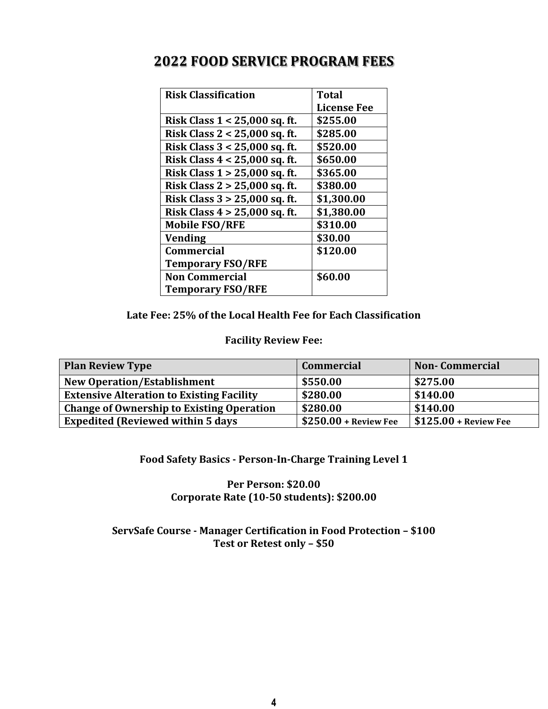| <b>Risk Classification</b>      | <b>Total</b>       |
|---------------------------------|--------------------|
|                                 | <b>License Fee</b> |
| Risk Class 1 < 25,000 sq. ft.   | \$255.00           |
| Risk Class 2 < 25,000 sq. ft.   | \$285.00           |
| Risk Class 3 < 25,000 sq. ft.   | \$520.00           |
| Risk Class 4 < 25,000 sq. ft.   | \$650.00           |
| Risk Class 1 > 25,000 sq. ft.   | \$365.00           |
| Risk Class 2 > 25,000 sq. ft.   | \$380.00           |
| Risk Class 3 > 25,000 sq. ft.   | \$1,300.00         |
| Risk Class $4 > 25,000$ sq. ft. | \$1,380.00         |
| <b>Mobile FSO/RFE</b>           | \$310.00           |
| <b>Vending</b>                  | \$30.00            |
| <b>Commercial</b>               | \$120.00           |
| <b>Temporary FSO/RFE</b>        |                    |
| <b>Non Commercial</b>           | \$60.00            |
| <b>Temporary FSO/RFE</b>        |                    |

# **2022 FOOD SERVICE PROGRAM FEES**

### **Late Fee: 25% of the Local Health Fee for Each Classification**

### **Facility Review Fee:**

| <b>Plan Review Type</b>                          | <b>Commercial</b>                   | <b>Non-Commercial</b>     |
|--------------------------------------------------|-------------------------------------|---------------------------|
| <b>New Operation/Establishment</b>               | \$550.00                            | \$275.00                  |
| <b>Extensive Alteration to Existing Facility</b> | \$280.00                            | \$140.00                  |
| <b>Change of Ownership to Existing Operation</b> | \$280.00                            | \$140.00                  |
| <b>Expedited (Reviewed within 5 days)</b>        | $\frac{1}{2}$ \$250.00 + Review Fee | $+$ \$125.00 + Review Fee |

### **Food Safety Basics - Person-In-Charge Training Level 1**

### **Per Person: \$20.00 Corporate Rate (10-50 students): \$200.00**

### **ServSafe Course - Manager Certification in Food Protection – \$100 Test or Retest only – \$50**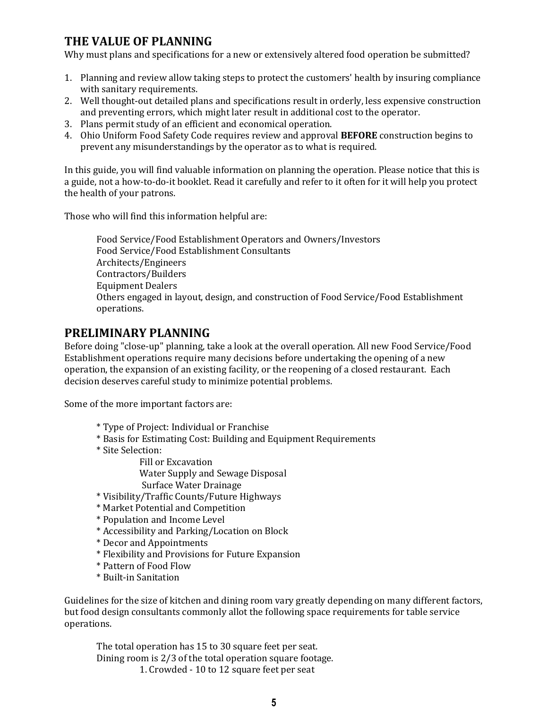# **THE VALUE OF PLANNING**

Why must plans and specifications for a new or extensively altered food operation be submitted?

- 1. Planning and review allow taking steps to protect the customers' health by insuring compliance with sanitary requirements.
- 2. Well thought-out detailed plans and specifications result in orderly, less expensive construction and preventing errors, which might later result in additional cost to the operator.
- 3. Plans permit study of an efficient and economical operation.
- 4. Ohio Uniform Food Safety Code requires review and approval **BEFORE** construction begins to prevent any misunderstandings by the operator as to what is required.

In this guide, you will find valuable information on planning the operation. Please notice that this is a guide, not a how-to-do-it booklet. Read it carefully and refer to it often for it will help you protect the health of your patrons.

Those who will find this information helpful are:

Food Service/Food Establishment Operators and Owners/Investors Food Service/Food Establishment Consultants Architects/Engineers Contractors/Builders Equipment Dealers Others engaged in layout, design, and construction of Food Service/Food Establishment operations.

# **PRELIMINARY PLANNING**

Before doing "close-up" planning, take a look at the overall operation. All new Food Service/Food Establishment operations require many decisions before undertaking the opening of a new operation, the expansion of an existing facility, or the reopening of a closed restaurant. Each decision deserves careful study to minimize potential problems.

Some of the more important factors are:

- \* Type of Project: Individual or Franchise
- \* Basis for Estimating Cost: Building and Equipment Requirements
- \* Site Selection:

 Fill or Excavation Water Supply and Sewage Disposal Surface Water Drainage

- \* Visibility/Traffic Counts/Future Highways
- \* Market Potential and Competition
- \* Population and Income Level
- \* Accessibility and Parking/Location on Block
- \* Decor and Appointments
- \* Flexibility and Provisions for Future Expansion
- \* Pattern of Food Flow
- \* Built-in Sanitation

Guidelines for the size of kitchen and dining room vary greatly depending on many different factors, but food design consultants commonly allot the following space requirements for table service operations.

The total operation has 15 to 30 square feet per seat. Dining room is 2/3 of the total operation square footage. 1. Crowded - 10 to 12 square feet per seat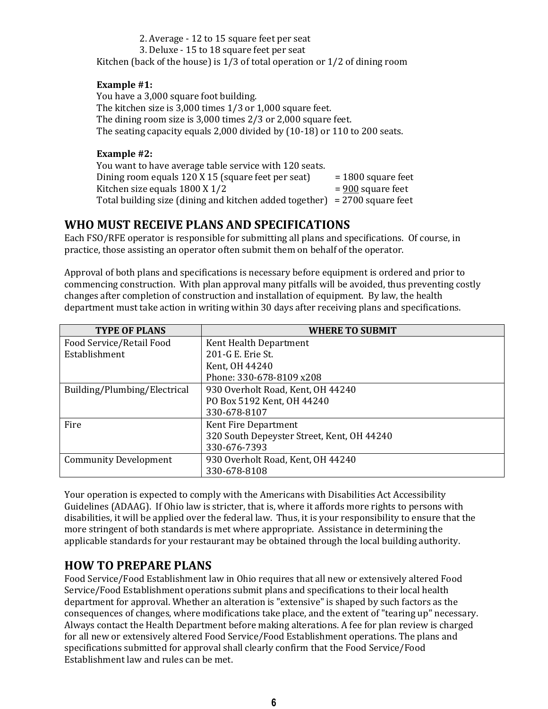2. Average - 12 to 15 square feet per seat 3. Deluxe - 15 to 18 square feet per seat Kitchen (back of the house) is 1/3 of total operation or 1/2 of dining room

#### **Example #1:**

You have a 3,000 square foot building. The kitchen size is 3,000 times 1/3 or 1,000 square feet. The dining room size is 3,000 times 2/3 or 2,000 square feet. The seating capacity equals 2,000 divided by (10-18) or 110 to 200 seats.

#### **Example #2:**

You want to have average table service with 120 seats. Dining room equals  $120 X 15$  (square feet per seat)  $= 1800$  square feet Kitchen size equals  $1800 \text{ X } 1/2$  = 900 square feet Total building size (dining and kitchen added together) = 2700 square feet

### **WHO MUST RECEIVE PLANS AND SPECIFICATIONS**

Each FSO/RFE operator is responsible for submitting all plans and specifications. Of course, in practice, those assisting an operator often submit them on behalf of the operator.

Approval of both plans and specifications is necessary before equipment is ordered and prior to commencing construction. With plan approval many pitfalls will be avoided, thus preventing costly changes after completion of construction and installation of equipment. By law, the health department must take action in writing within 30 days after receiving plans and specifications.

| <b>TYPE OF PLANS</b>         | <b>WHERE TO SUBMIT</b>                     |  |  |
|------------------------------|--------------------------------------------|--|--|
| Food Service/Retail Food     | Kent Health Department                     |  |  |
| Establishment                | 201-G E. Erie St.                          |  |  |
|                              | Kent, OH 44240                             |  |  |
|                              | Phone: 330-678-8109 x208                   |  |  |
| Building/Plumbing/Electrical | 930 Overholt Road, Kent, OH 44240          |  |  |
|                              | PO Box 5192 Kent, OH 44240                 |  |  |
|                              | 330-678-8107                               |  |  |
| Fire                         | Kent Fire Department                       |  |  |
|                              | 320 South Depeyster Street, Kent, OH 44240 |  |  |
|                              | 330-676-7393                               |  |  |
| <b>Community Development</b> | 930 Overholt Road, Kent, OH 44240          |  |  |
|                              | 330-678-8108                               |  |  |

Your operation is expected to comply with the Americans with Disabilities Act Accessibility Guidelines (ADAAG). If Ohio law is stricter, that is, where it affords more rights to persons with disabilities, it will be applied over the federal law. Thus, it is your responsibility to ensure that the more stringent of both standards is met where appropriate. Assistance in determining the applicable standards for your restaurant may be obtained through the local building authority.

### **HOW TO PREPARE PLANS**

Food Service/Food Establishment law in Ohio requires that all new or extensively altered Food Service/Food Establishment operations submit plans and specifications to their local health department for approval. Whether an alteration is "extensive" is shaped by such factors as the consequences of changes, where modifications take place, and the extent of "tearing up" necessary. Always contact the Health Department before making alterations. A fee for plan review is charged for all new or extensively altered Food Service/Food Establishment operations. The plans and specifications submitted for approval shall clearly confirm that the Food Service/Food Establishment law and rules can be met.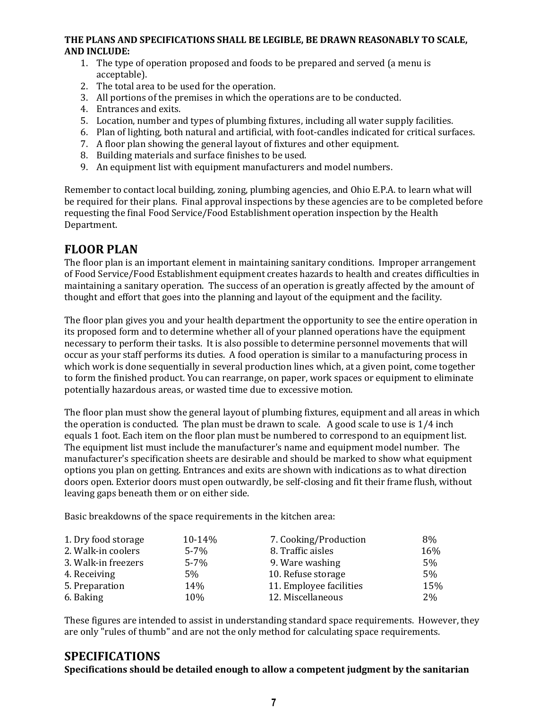### **THE PLANS AND SPECIFICATIONS SHALL BE LEGIBLE, BE DRAWN REASONABLY TO SCALE, AND INCLUDE:**

- 1. The type of operation proposed and foods to be prepared and served (a menu is acceptable).
- 2. The total area to be used for the operation.
- 3. All portions of the premises in which the operations are to be conducted.
- 4. Entrances and exits.
- 5. Location, number and types of plumbing fixtures, including all water supply facilities.
- 6. Plan of lighting, both natural and artificial, with foot-candles indicated for critical surfaces.
- 7. A floor plan showing the general layout of fixtures and other equipment.
- 8. Building materials and surface finishes to be used.
- 9. An equipment list with equipment manufacturers and model numbers.

Remember to contact local building, zoning, plumbing agencies, and Ohio E.P.A. to learn what will be required for their plans. Final approval inspections by these agencies are to be completed before requesting the final Food Service/Food Establishment operation inspection by the Health Department.

# **FLOOR PLAN**

The floor plan is an important element in maintaining sanitary conditions. Improper arrangement of Food Service/Food Establishment equipment creates hazards to health and creates difficulties in maintaining a sanitary operation. The success of an operation is greatly affected by the amount of thought and effort that goes into the planning and layout of the equipment and the facility.

The floor plan gives you and your health department the opportunity to see the entire operation in its proposed form and to determine whether all of your planned operations have the equipment necessary to perform their tasks. It is also possible to determine personnel movements that will occur as your staff performs its duties. A food operation is similar to a manufacturing process in which work is done sequentially in several production lines which, at a given point, come together to form the finished product. You can rearrange, on paper, work spaces or equipment to eliminate potentially hazardous areas, or wasted time due to excessive motion.

The floor plan must show the general layout of plumbing fixtures, equipment and all areas in which the operation is conducted. The plan must be drawn to scale. A good scale to use is 1/4 inch equals 1 foot. Each item on the floor plan must be numbered to correspond to an equipment list. The equipment list must include the manufacturer's name and equipment model number. The manufacturer's specification sheets are desirable and should be marked to show what equipment options you plan on getting. Entrances and exits are shown with indications as to what direction doors open. Exterior doors must open outwardly, be self-closing and fit their frame flush, without leaving gaps beneath them or on either side.

Basic breakdowns of the space requirements in the kitchen area:

| 1. Dry food storage | 10-14%   | 7. Cooking/Production   | 8%    |
|---------------------|----------|-------------------------|-------|
| 2. Walk-in coolers  | $5 - 7%$ | 8. Traffic aisles       | 16%   |
| 3. Walk-in freezers | $5 - 7%$ | 9. Ware washing         | 5%    |
| 4. Receiving        | 5%       | 10. Refuse storage      | 5%    |
| 5. Preparation      | 14%      | 11. Employee facilities | 15%   |
| 6. Baking           | 10%      | 12. Miscellaneous       | $2\%$ |

These figures are intended to assist in understanding standard space requirements. However, they are only "rules of thumb" and are not the only method for calculating space requirements.

### **SPECIFICATIONS**

**Specifications should be detailed enough to allow a competent judgment by the sanitarian**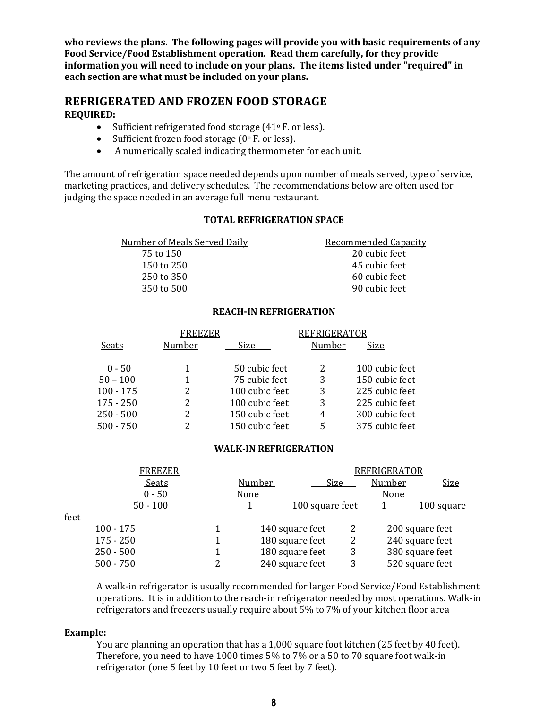**who reviews the plans. The following pages will provide you with basic requirements of any Food Service/Food Establishment operation. Read them carefully, for they provide information you will need to include on your plans. The items listed under "required" in each section are what must be included on your plans.**

### **REFRIGERATED AND FROZEN FOOD STORAGE REQUIRED:**

- Sufficient refrigerated food storage  $(41°)$  F. or less).
- Sufficient frozen food storage  $(0°$  F. or less).
- A numerically scaled indicating thermometer for each unit.

The amount of refrigeration space needed depends upon number of meals served, type of service, marketing practices, and delivery schedules. The recommendations below are often used for judging the space needed in an average full menu restaurant.

#### **TOTAL REFRIGERATION SPACE**

| <b>Number of Meals Served Daily</b> | <b>Recommended Capacity</b> |
|-------------------------------------|-----------------------------|
| 75 to 150                           | 20 cubic feet               |
| 150 to 250                          | 45 cubic feet               |
| 250 to 350                          | 60 cubic feet               |
| 350 to 500                          | 90 cubic feet               |
|                                     |                             |

#### **REACH-IN REFRIGERATION**

|             | <b>FREEZER</b> |                | <b>REFRIGERATOR</b> |                |
|-------------|----------------|----------------|---------------------|----------------|
| Seats       | Number         | Size           | Number              | Size           |
| $0 - 50$    |                | 50 cubic feet  |                     | 100 cubic feet |
| $50 - 100$  |                | 75 cubic feet  | 3                   | 150 cubic feet |
| $100 - 175$ |                | 100 cubic feet | 3                   | 225 cubic feet |
| $175 - 250$ |                | 100 cubic feet | 3                   | 225 cubic feet |
| $250 - 500$ |                | 150 cubic feet | 4                   | 300 cubic feet |
| $500 - 750$ |                | 150 cubic feet |                     | 375 cubic feet |

#### **WALK-IN REFRIGERATION**

|   | <b>Number</b> |                                                                          | <b>Number</b>           | <b>Size</b>         |
|---|---------------|--------------------------------------------------------------------------|-------------------------|---------------------|
|   | None          |                                                                          | None                    |                     |
|   |               |                                                                          |                         | 100 square          |
|   |               |                                                                          |                         |                     |
| 1 |               | 2                                                                        |                         | 200 square feet     |
|   |               | 2                                                                        |                         | 240 square feet     |
|   |               | 3                                                                        |                         | 380 square feet     |
| 2 |               | 3                                                                        |                         | 520 square feet     |
|   |               | 140 square feet<br>180 square feet<br>180 square feet<br>240 square feet | Size<br>100 square feet | <b>REFRIGERATOR</b> |

A walk-in refrigerator is usually recommended for larger Food Service/Food Establishment operations. It is in addition to the reach-in refrigerator needed by most operations. Walk-in refrigerators and freezers usually require about 5% to 7% of your kitchen floor area

#### **Example:**

You are planning an operation that has a 1,000 square foot kitchen (25 feet by 40 feet). Therefore, you need to have 1000 times 5% to 7% or a 50 to 70 square foot walk-in refrigerator (one 5 feet by 10 feet or two 5 feet by 7 feet).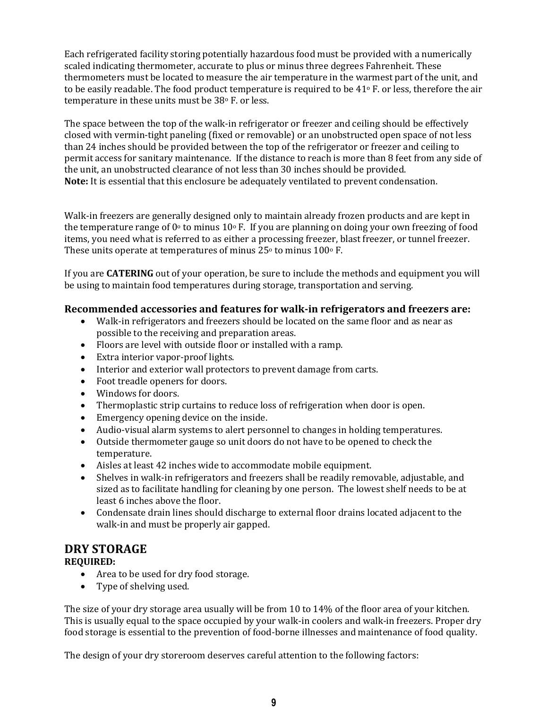Each refrigerated facility storing potentially hazardous food must be provided with a numerically scaled indicating thermometer, accurate to plus or minus three degrees Fahrenheit. These thermometers must be located to measure the air temperature in the warmest part of the unit, and to be easily readable. The food product temperature is required to be 41° F. or less, therefore the air temperature in these units must be 38° F. or less.

The space between the top of the walk-in refrigerator or freezer and ceiling should be effectively closed with vermin-tight paneling (fixed or removable) or an unobstructed open space of not less than 24 inches should be provided between the top of the refrigerator or freezer and ceiling to permit access for sanitary maintenance. If the distance to reach is more than 8 feet from any side of the unit, an unobstructed clearance of not less than 30 inches should be provided. **Note:** It is essential that this enclosure be adequately ventilated to prevent condensation.

Walk-in freezers are generally designed only to maintain already frozen products and are kept in the temperature range of  $0^{\circ}$  to minus 10 $^{\circ}$  F. If you are planning on doing your own freezing of food items, you need what is referred to as either a processing freezer, blast freezer, or tunnel freezer. These units operate at temperatures of minus  $25^{\circ}$  to minus  $100^{\circ}$  F.

If you are **CATERING** out of your operation, be sure to include the methods and equipment you will be using to maintain food temperatures during storage, transportation and serving.

### **Recommended accessories and features for walk-in refrigerators and freezers are:**

- Walk-in refrigerators and freezers should be located on the same floor and as near as possible to the receiving and preparation areas.
- Floors are level with outside floor or installed with a ramp.
- Extra interior vapor-proof lights.
- Interior and exterior wall protectors to prevent damage from carts.
- Foot treadle openers for doors.
- Windows for doors.
- Thermoplastic strip curtains to reduce loss of refrigeration when door is open.
- Emergency opening device on the inside.
- Audio-visual alarm systems to alert personnel to changes in holding temperatures.
- Outside thermometer gauge so unit doors do not have to be opened to check the temperature.
- Aisles at least 42 inches wide to accommodate mobile equipment.
- Shelves in walk-in refrigerators and freezers shall be readily removable, adjustable, and sized as to facilitate handling for cleaning by one person. The lowest shelf needs to be at least 6 inches above the floor.
- Condensate drain lines should discharge to external floor drains located adjacent to the walk-in and must be properly air gapped.

### **DRY STORAGE**

### **REQUIRED:**

- Area to be used for dry food storage.
- Type of shelving used.

The size of your dry storage area usually will be from 10 to 14% of the floor area of your kitchen. This is usually equal to the space occupied by your walk-in coolers and walk-in freezers. Proper dry food storage is essential to the prevention of food-borne illnesses and maintenance of food quality.

The design of your dry storeroom deserves careful attention to the following factors: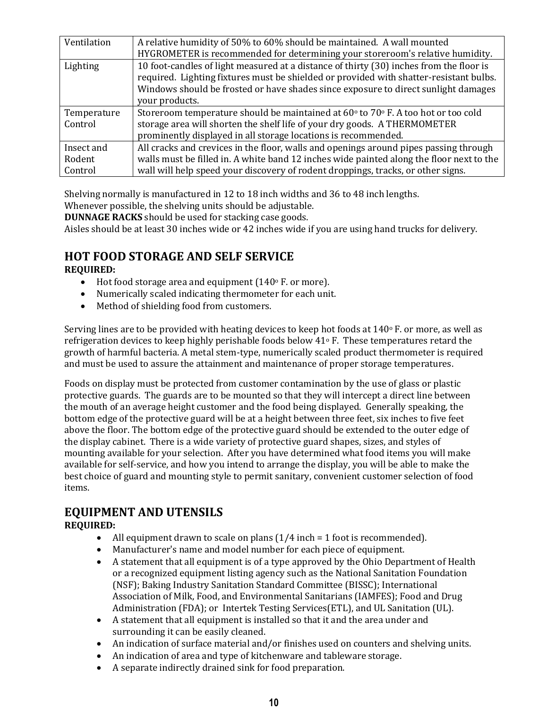| Ventilation | A relative humidity of 50% to 60% should be maintained. A wall mounted                              |
|-------------|-----------------------------------------------------------------------------------------------------|
|             | HYGROMETER is recommended for determining your storeroom's relative humidity.                       |
| Lighting    | 10 foot-candles of light measured at a distance of thirty (30) inches from the floor is             |
|             | required. Lighting fixtures must be shielded or provided with shatter-resistant bulbs.              |
|             | Windows should be frosted or have shades since exposure to direct sunlight damages                  |
|             | your products.                                                                                      |
| Temperature | Storeroom temperature should be maintained at $60^{\circ}$ to $70^{\circ}$ F. A too hot or too cold |
| Control     | storage area will shorten the shelf life of your dry goods. A THERMOMETER                           |
|             | prominently displayed in all storage locations is recommended.                                      |
| Insect and  | All cracks and crevices in the floor, walls and openings around pipes passing through               |
| Rodent      | walls must be filled in. A white band 12 inches wide painted along the floor next to the            |
| Control     | wall will help speed your discovery of rodent droppings, tracks, or other signs.                    |

Shelving normally is manufactured in 12 to 18 inch widths and 36 to 48 inch lengths.

Whenever possible, the shelving units should be adjustable.

**DUNNAGE RACKS** should be used for stacking case goods.

Aisles should be at least 30 inches wide or 42 inches wide if you are using hand trucks for delivery.

# **HOT FOOD STORAGE AND SELF SERVICE**

**REQUIRED:**

- $\bullet$  Hot food storage area and equipment (140 $\circ$  F. or more).
- Numerically scaled indicating thermometer for each unit.
- Method of shielding food from customers.

Serving lines are to be provided with heating devices to keep hot foods at 140° F. or more, as well as refrigeration devices to keep highly perishable foods below  $41\degree$  F. These temperatures retard the growth of harmful bacteria. A metal stem-type, numerically scaled product thermometer is required and must be used to assure the attainment and maintenance of proper storage temperatures.

Foods on display must be protected from customer contamination by the use of glass or plastic protective guards. The guards are to be mounted so that they will intercept a direct line between the mouth of an average height customer and the food being displayed. Generally speaking, the bottom edge of the protective guard will be at a height between three feet, six inches to five feet above the floor. The bottom edge of the protective guard should be extended to the outer edge of the display cabinet. There is a wide variety of protective guard shapes, sizes, and styles of mounting available for your selection. After you have determined what food items you will make available for self-service, and how you intend to arrange the display, you will be able to make the best choice of guard and mounting style to permit sanitary, convenient customer selection of food items.

# **EQUIPMENT AND UTENSILS**

### **REQUIRED:**

- All equipment drawn to scale on plans  $(1/4$  inch = 1 foot is recommended).
- Manufacturer's name and model number for each piece of equipment.
- A statement that all equipment is of a type approved by the Ohio Department of Health or a recognized equipment listing agency such as the National Sanitation Foundation (NSF); Baking Industry Sanitation Standard Committee (BISSC); International Association of Milk, Food, and Environmental Sanitarians (IAMFES); Food and Drug Administration (FDA); or Intertek Testing Services(ETL), and UL Sanitation (UL).
- A statement that all equipment is installed so that it and the area under and surrounding it can be easily cleaned.
- An indication of surface material and/or finishes used on counters and shelving units.
- An indication of area and type of kitchenware and tableware storage.
- A separate indirectly drained sink for food preparation.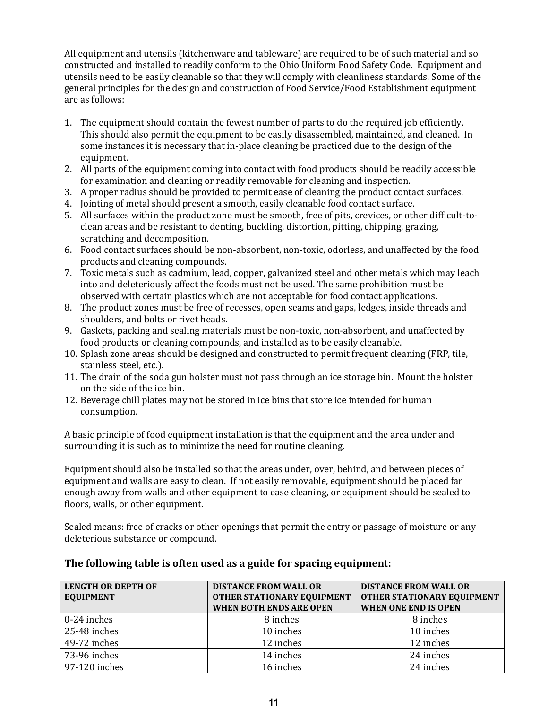All equipment and utensils (kitchenware and tableware) are required to be of such material and so constructed and installed to readily conform to the Ohio Uniform Food Safety Code. Equipment and utensils need to be easily cleanable so that they will comply with cleanliness standards. Some of the general principles for the design and construction of Food Service/Food Establishment equipment are as follows:

- 1. The equipment should contain the fewest number of parts to do the required job efficiently. This should also permit the equipment to be easily disassembled, maintained, and cleaned. In some instances it is necessary that in-place cleaning be practiced due to the design of the equipment.
- 2. All parts of the equipment coming into contact with food products should be readily accessible for examination and cleaning or readily removable for cleaning and inspection.
- 3. A proper radius should be provided to permit ease of cleaning the product contact surfaces.
- 4. Jointing of metal should present a smooth, easily cleanable food contact surface.
- 5. All surfaces within the product zone must be smooth, free of pits, crevices, or other difficult-toclean areas and be resistant to denting, buckling, distortion, pitting, chipping, grazing, scratching and decomposition.
- 6. Food contact surfaces should be non-absorbent, non-toxic, odorless, and unaffected by the food products and cleaning compounds.
- 7. Toxic metals such as cadmium, lead, copper, galvanized steel and other metals which may leach into and deleteriously affect the foods must not be used. The same prohibition must be observed with certain plastics which are not acceptable for food contact applications.
- 8. The product zones must be free of recesses, open seams and gaps, ledges, inside threads and shoulders, and bolts or rivet heads.
- 9. Gaskets, packing and sealing materials must be non-toxic, non-absorbent, and unaffected by food products or cleaning compounds, and installed as to be easily cleanable.
- 10. Splash zone areas should be designed and constructed to permit frequent cleaning (FRP, tile, stainless steel, etc.).
- 11. The drain of the soda gun holster must not pass through an ice storage bin. Mount the holster on the side of the ice bin.
- 12. Beverage chill plates may not be stored in ice bins that store ice intended for human consumption.

A basic principle of food equipment installation is that the equipment and the area under and surrounding it is such as to minimize the need for routine cleaning.

Equipment should also be installed so that the areas under, over, behind, and between pieces of equipment and walls are easy to clean. If not easily removable, equipment should be placed far enough away from walls and other equipment to ease cleaning, or equipment should be sealed to floors, walls, or other equipment.

Sealed means: free of cracks or other openings that permit the entry or passage of moisture or any deleterious substance or compound.

| <b>LENGTH OR DEPTH OF</b><br><b>EQUIPMENT</b> | <b>DISTANCE FROM WALL OR</b><br><b>OTHER STATIONARY EQUIPMENT</b><br>WHEN BOTH ENDS ARE OPEN | <b>DISTANCE FROM WALL OR</b><br><b>OTHER STATIONARY EQUIPMENT</b><br><b>WHEN ONE END IS OPEN</b> |
|-----------------------------------------------|----------------------------------------------------------------------------------------------|--------------------------------------------------------------------------------------------------|
| 0-24 inches                                   | 8 inches                                                                                     | 8 inches                                                                                         |
| 25-48 inches                                  | 10 inches                                                                                    | 10 inches                                                                                        |
| 49-72 inches                                  | 12 inches                                                                                    | 12 inches                                                                                        |
| 73-96 inches                                  | 14 inches                                                                                    | 24 inches                                                                                        |
| 97-120 inches                                 | 16 inches                                                                                    | 24 inches                                                                                        |

### **The following table is often used as a guide for spacing equipment:**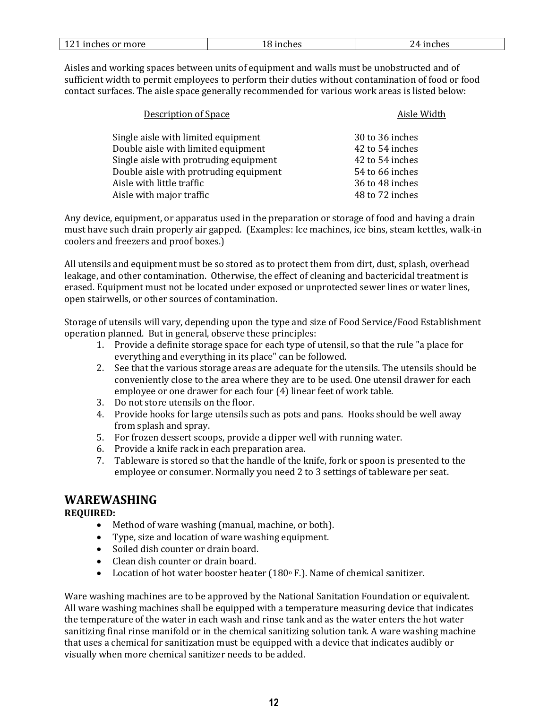| 101<br>121 inches or more | ⊥8 inches | inches<br>$^{\prime}$ /L |
|---------------------------|-----------|--------------------------|
|                           |           |                          |

Aisles and working spaces between units of equipment and walls must be unobstructed and of sufficient width to permit employees to perform their duties without contamination of food or food contact surfaces. The aisle space generally recommended for various work areas is listed below:

| <b>Description of Space</b>            | Aisle Width     |
|----------------------------------------|-----------------|
| Single aisle with limited equipment    | 30 to 36 inches |
| Double aisle with limited equipment    | 42 to 54 inches |
| Single aisle with protruding equipment | 42 to 54 inches |
| Double aisle with protruding equipment | 54 to 66 inches |
| Aisle with little traffic              | 36 to 48 inches |
| Aisle with major traffic               | 48 to 72 inches |

Any device, equipment, or apparatus used in the preparation or storage of food and having a drain must have such drain properly air gapped. (Examples: Ice machines, ice bins, steam kettles, walk-in coolers and freezers and proof boxes.)

All utensils and equipment must be so stored as to protect them from dirt, dust, splash, overhead leakage, and other contamination. Otherwise, the effect of cleaning and bactericidal treatment is erased. Equipment must not be located under exposed or unprotected sewer lines or water lines, open stairwells, or other sources of contamination.

Storage of utensils will vary, depending upon the type and size of Food Service/Food Establishment operation planned. But in general, observe these principles:

- 1. Provide a definite storage space for each type of utensil, so that the rule "a place for everything and everything in its place" can be followed.
- 2. See that the various storage areas are adequate for the utensils. The utensils should be conveniently close to the area where they are to be used. One utensil drawer for each employee or one drawer for each four (4) linear feet of work table.
- 3. Do not store utensils on the floor.
- 4. Provide hooks for large utensils such as pots and pans. Hooks should be well away from splash and spray.
- 5. For frozen dessert scoops, provide a dipper well with running water.
- 6. Provide a knife rack in each preparation area.
- 7. Tableware is stored so that the handle of the knife, fork or spoon is presented to the employee or consumer. Normally you need 2 to 3 settings of tableware per seat.

### **WAREWASHING**

### **REQUIRED:**

- Method of ware washing (manual, machine, or both).
- Type, size and location of ware washing equipment.
- Soiled dish counter or drain board.
- Clean dish counter or drain board.
- Location of hot water booster heater (180° F.). Name of chemical sanitizer.

Ware washing machines are to be approved by the National Sanitation Foundation or equivalent. All ware washing machines shall be equipped with a temperature measuring device that indicates the temperature of the water in each wash and rinse tank and as the water enters the hot water sanitizing final rinse manifold or in the chemical sanitizing solution tank. A ware washing machine that uses a chemical for sanitization must be equipped with a device that indicates audibly or visually when more chemical sanitizer needs to be added.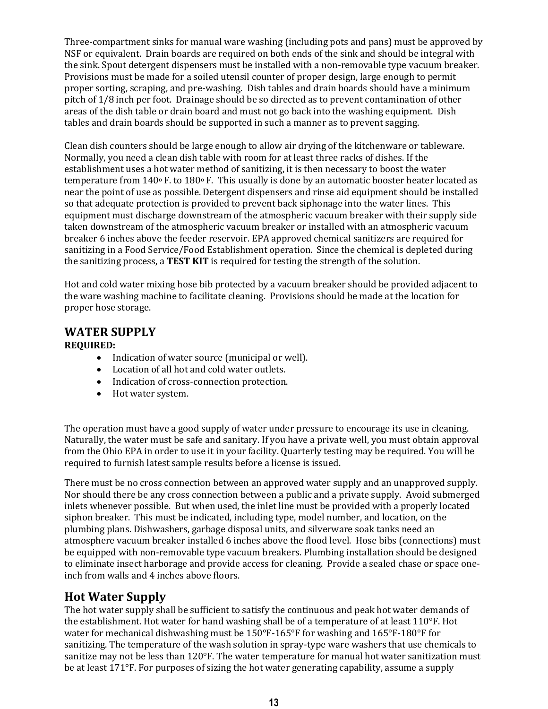Three-compartment sinks for manual ware washing (including pots and pans) must be approved by NSF or equivalent. Drain boards are required on both ends of the sink and should be integral with the sink. Spout detergent dispensers must be installed with a non-removable type vacuum breaker. Provisions must be made for a soiled utensil counter of proper design, large enough to permit proper sorting, scraping, and pre-washing. Dish tables and drain boards should have a minimum pitch of 1/8 inch per foot. Drainage should be so directed as to prevent contamination of other areas of the dish table or drain board and must not go back into the washing equipment. Dish tables and drain boards should be supported in such a manner as to prevent sagging.

Clean dish counters should be large enough to allow air drying of the kitchenware or tableware. Normally, you need a clean dish table with room for at least three racks of dishes. If the establishment uses a hot water method of sanitizing, it is then necessary to boost the water temperature from  $140^{\circ}$  F. to  $180^{\circ}$  F. This usually is done by an automatic booster heater located as near the point of use as possible. Detergent dispensers and rinse aid equipment should be installed so that adequate protection is provided to prevent back siphonage into the water lines. This equipment must discharge downstream of the atmospheric vacuum breaker with their supply side taken downstream of the atmospheric vacuum breaker or installed with an atmospheric vacuum breaker 6 inches above the feeder reservoir. EPA approved chemical sanitizers are required for sanitizing in a Food Service/Food Establishment operation. Since the chemical is depleted during the sanitizing process, a **TEST KIT** is required for testing the strength of the solution.

Hot and cold water mixing hose bib protected by a vacuum breaker should be provided adjacent to the ware washing machine to facilitate cleaning. Provisions should be made at the location for proper hose storage.

# **WATER SUPPLY**

### **REQUIRED:**

- Indication of water source (municipal or well).
- Location of all hot and cold water outlets.
- Indication of cross-connection protection.
- Hot water system.

The operation must have a good supply of water under pressure to encourage its use in cleaning. Naturally, the water must be safe and sanitary. If you have a private well, you must obtain approval from the Ohio EPA in order to use it in your facility. Quarterly testing may be required. You will be required to furnish latest sample results before a license is issued.

There must be no cross connection between an approved water supply and an unapproved supply. Nor should there be any cross connection between a public and a private supply. Avoid submerged inlets whenever possible. But when used, the inlet line must be provided with a properly located siphon breaker. This must be indicated, including type, model number, and location, on the plumbing plans. Dishwashers, garbage disposal units, and silverware soak tanks need an atmosphere vacuum breaker installed 6 inches above the flood level. Hose bibs (connections) must be equipped with non-removable type vacuum breakers. Plumbing installation should be designed to eliminate insect harborage and provide access for cleaning. Provide a sealed chase or space oneinch from walls and 4 inches above floors.

# **Hot Water Supply**

The hot water supply shall be sufficient to satisfy the continuous and peak hot water demands of the establishment. Hot water for hand washing shall be of a temperature of at least  $110^{\circ}$ F. Hot water for mechanical dishwashing must be 150°F-165°F for washing and 165°F-180°F for sanitizing. The temperature of the wash solution in spray-type ware washers that use chemicals to sanitize may not be less than 120°F. The water temperature for manual hot water sanitization must be at least 171°F. For purposes of sizing the hot water generating capability, assume a supply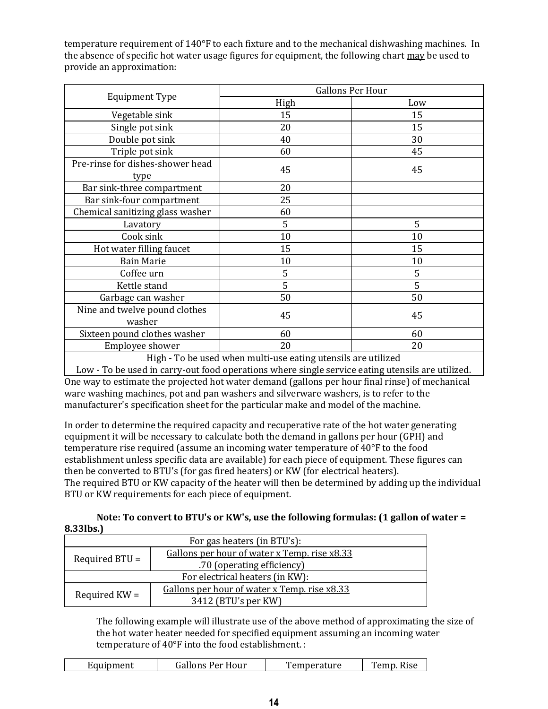temperature requirement of 140°F to each fixture and to the mechanical dishwashing machines. In the absence of specific hot water usage figures for equipment, the following chart may be used to provide an approximation:

|                                                                                                                                | <b>Gallons Per Hour</b>         |     |  |
|--------------------------------------------------------------------------------------------------------------------------------|---------------------------------|-----|--|
| <b>Equipment Type</b>                                                                                                          | High                            | Low |  |
| Vegetable sink                                                                                                                 | 15                              | 15  |  |
| Single pot sink                                                                                                                | 20                              | 15  |  |
| Double pot sink                                                                                                                | 40                              | 30  |  |
| Triple pot sink                                                                                                                | 60                              | 45  |  |
| Pre-rinse for dishes-shower head<br>type                                                                                       | 45                              | 45  |  |
| Bar sink-three compartment                                                                                                     | 20                              |     |  |
| Bar sink-four compartment                                                                                                      | 25                              |     |  |
| Chemical sanitizing glass washer                                                                                               | 60                              |     |  |
| Lavatory                                                                                                                       | 5                               | 5   |  |
| Cook sink                                                                                                                      | 10                              | 10  |  |
| Hot water filling faucet                                                                                                       | 15                              | 15  |  |
| <b>Bain Marie</b>                                                                                                              | 10                              | 10  |  |
| Coffee urn                                                                                                                     | 5                               | 5   |  |
| Kettle stand                                                                                                                   | 5                               | 5   |  |
| Garbage can washer                                                                                                             | 50                              | 50  |  |
| Nine and twelve pound clothes<br>washer                                                                                        | 45                              | 45  |  |
| Sixteen pound clothes washer                                                                                                   | 60                              | 60  |  |
| Employee shower<br>$\mathbf{v}$ , and $\mathbf{v}$ , and $\mathbf{v}$ , and $\mathbf{v}$ , and $\mathbf{v}$ , and $\mathbf{v}$ | 20<br>$\mathbf{v}$ $\mathbf{v}$ | 20  |  |

High - To be used when multi-use eating utensils are utilized Low - To be used in carry-out food operations where single service eating utensils are utilized. One way to estimate the projected hot water demand (gallons per hour final rinse) of mechanical ware washing machines, pot and pan washers and silverware washers, is to refer to the manufacturer's specification sheet for the particular make and model of the machine.

In order to determine the required capacity and recuperative rate of the hot water generating equipment it will be necessary to calculate both the demand in gallons per hour (GPH) and temperature rise required (assume an incoming water temperature of 40°F to the food establishment unless specific data are available) for each piece of equipment. These figures can then be converted to BTU's (for gas fired heaters) or KW (for electrical heaters). The required BTU or KW capacity of the heater will then be determined by adding up the individual BTU or KW requirements for each piece of equipment.

**Note: To convert to BTU's or KW's, use the following formulas: (1 gallon of water = 8.33lbs.)**

| For gas heaters (in BTU's):     |                                              |  |
|---------------------------------|----------------------------------------------|--|
| Required $BTU =$                | Gallons per hour of water x Temp. rise x8.33 |  |
|                                 | .70 (operating efficiency)                   |  |
| For electrical heaters (in KW): |                                              |  |
| Required $KW =$                 | Gallons per hour of water x Temp. rise x8.33 |  |
|                                 | 3412 (BTU's per KW)                          |  |

The following example will illustrate use of the above method of approximating the size of the hot water heater needed for specified equipment assuming an incoming water temperature of 40°F into the food establishment. :

| Temp.<br>Gallons Per Hour<br>emperature'<br><b>Rise</b><br>Equipment |
|----------------------------------------------------------------------|
|----------------------------------------------------------------------|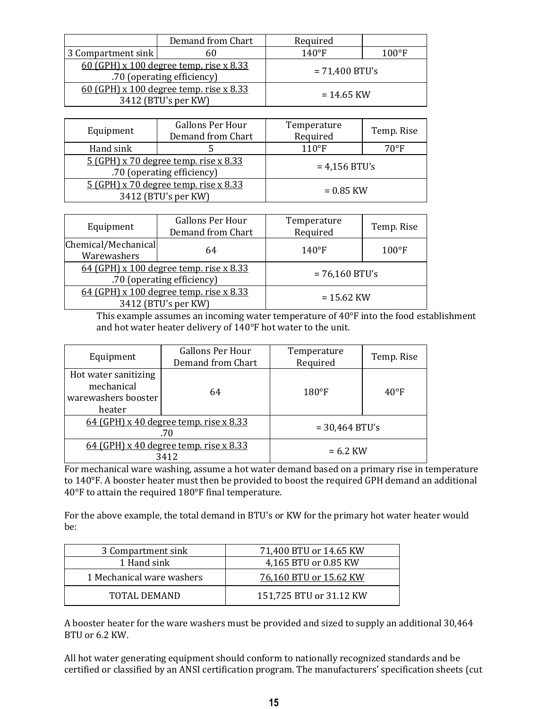|                                                                           | Demand from Chart                                                | Required         |                 |  |
|---------------------------------------------------------------------------|------------------------------------------------------------------|------------------|-----------------|--|
| 3 Compartment sink                                                        | 60                                                               | $140^{\circ}F$   | $100^{\circ}$ F |  |
| 60 (GPH) $x$ 100 degree temp. rise $x$ 8.33<br>.70 (operating efficiency) |                                                                  | $= 71,400$ BTU's |                 |  |
|                                                                           | $60$ (GPH) x 100 degree temp. rise x 8.33<br>3412 (BTU's per KW) |                  | $= 14.65$ KW    |  |

| Equipment                                    | <b>Gallons Per Hour</b><br>Demand from Chart | Temperature<br>Required | Temp. Rise     |
|----------------------------------------------|----------------------------------------------|-------------------------|----------------|
| Hand sink                                    |                                              | $110^{\circ}F$          | $70^{\circ}$ F |
| <u>5 (GPH) x 70 degree temp. rise x 8.33</u> |                                              | $= 4,156$ BTU's         |                |
| .70 (operating efficiency)                   |                                              |                         |                |
| $5(GPH)$ x 70 degree temp. rise x 8.33       |                                              | $= 0.85$ KW             |                |
| 3412 (BTU's per KW)                          |                                              |                         |                |

| Equipment                                                             | <b>Gallons Per Hour</b><br>Demand from Chart | Temperature<br>Required | Temp. Rise      |
|-----------------------------------------------------------------------|----------------------------------------------|-------------------------|-----------------|
| Chemical/Mechanical<br>Warewashers                                    | 64                                           | $140^{\circ}F$          | $100^{\circ}$ F |
| 64 (GPH) x 100 degree temp. rise x 8.33<br>.70 (operating efficiency) |                                              | $= 76,160$ BTU's        |                 |
| 64 (GPH) x 100 degree temp. rise x 8.33<br>3412 (BTU's per KW)        |                                              | $= 15.62$ KW            |                 |

This example assumes an incoming water temperature of 40°F into the food establishment and hot water heater delivery of 140°F hot water to the unit.

| Equipment                                                           | <b>Gallons Per Hour</b><br>Demand from Chart | Temperature<br>Required | Temp. Rise    |
|---------------------------------------------------------------------|----------------------------------------------|-------------------------|---------------|
| Hot water sanitizing<br>mechanical<br>warewashers booster<br>heater | 64                                           | $180^{\circ}$ F         | $40^{\circ}F$ |
| 64 (GPH) x 40 degree temp. rise x 8.33<br>.70                       |                                              | $= 30,464$ BTU's        |               |
| 64 (GPH) x 40 degree temp. rise x 8.33<br>3412                      |                                              | $= 6.2$ KW              |               |

For mechanical ware washing, assume a hot water demand based on a primary rise in temperature to 140°F. A booster heater must then be provided to boost the required GPH demand an additional 40°F to attain the required 180°F final temperature.

For the above example, the total demand in BTU's or KW for the primary hot water heater would be:

| 3 Compartment sink        | 71,400 BTU or 14.65 KW  |
|---------------------------|-------------------------|
| 1 Hand sink               | 4,165 BTU or 0.85 KW    |
| 1 Mechanical ware washers | 76,160 BTU or 15.62 KW  |
| TOTAL DEMAND              | 151,725 BTU or 31.12 KW |

A booster heater for the ware washers must be provided and sized to supply an additional 30,464 BTU or 6.2 KW.

All hot water generating equipment should conform to nationally recognized standards and be certified or classified by an ANSI certification program. The manufacturers' specification sheets (cut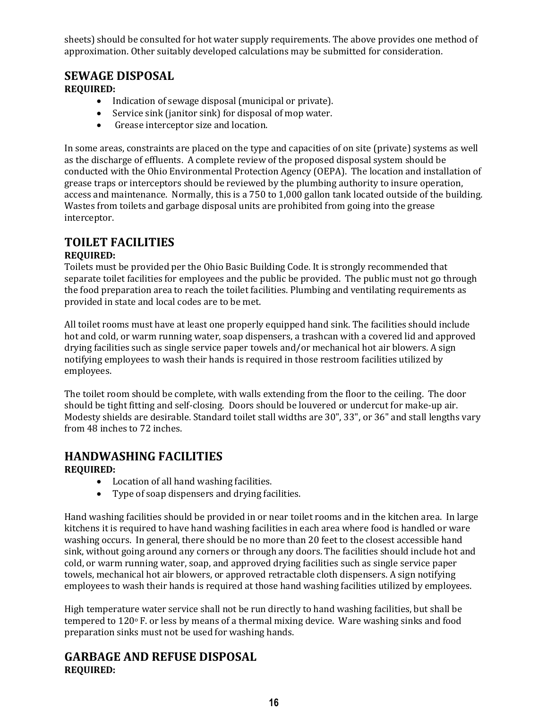sheets) should be consulted for hot water supply requirements. The above provides one method of approximation. Other suitably developed calculations may be submitted for consideration.

### **SEWAGE DISPOSAL**

**REQUIRED:**

- Indication of sewage disposal (municipal or private).
- Service sink (janitor sink) for disposal of mop water.
- Grease interceptor size and location.

In some areas, constraints are placed on the type and capacities of on site (private) systems as well as the discharge of effluents. A complete review of the proposed disposal system should be conducted with the Ohio Environmental Protection Agency (OEPA). The location and installation of grease traps or interceptors should be reviewed by the plumbing authority to insure operation, access and maintenance. Normally, this is a 750 to 1,000 gallon tank located outside of the building. Wastes from toilets and garbage disposal units are prohibited from going into the grease interceptor.

# **TOILET FACILITIES**

### **REQUIRED:**

Toilets must be provided per the Ohio Basic Building Code. It is strongly recommended that separate toilet facilities for employees and the public be provided. The public must not go through the food preparation area to reach the toilet facilities. Plumbing and ventilating requirements as provided in state and local codes are to be met.

All toilet rooms must have at least one properly equipped hand sink. The facilities should include hot and cold, or warm running water, soap dispensers, a trashcan with a covered lid and approved drying facilities such as single service paper towels and/or mechanical hot air blowers. A sign notifying employees to wash their hands is required in those restroom facilities utilized by employees.

The toilet room should be complete, with walls extending from the floor to the ceiling. The door should be tight fitting and self-closing. Doors should be louvered or undercut for make-up air. Modesty shields are desirable. Standard toilet stall widths are 30", 33", or 36" and stall lengths vary from 48 inches to 72 inches.

# **HANDWASHING FACILITIES**

### **REQUIRED:**

- Location of all hand washing facilities.
- Type of soap dispensers and drying facilities.

Hand washing facilities should be provided in or near toilet rooms and in the kitchen area. In large kitchens it is required to have hand washing facilities in each area where food is handled or ware washing occurs. In general, there should be no more than 20 feet to the closest accessible hand sink, without going around any corners or through any doors. The facilities should include hot and cold, or warm running water, soap, and approved drying facilities such as single service paper towels, mechanical hot air blowers, or approved retractable cloth dispensers. A sign notifying employees to wash their hands is required at those hand washing facilities utilized by employees.

High temperature water service shall not be run directly to hand washing facilities, but shall be tempered to 120° F. or less by means of a thermal mixing device. Ware washing sinks and food preparation sinks must not be used for washing hands.

### **GARBAGE AND REFUSE DISPOSAL REQUIRED:**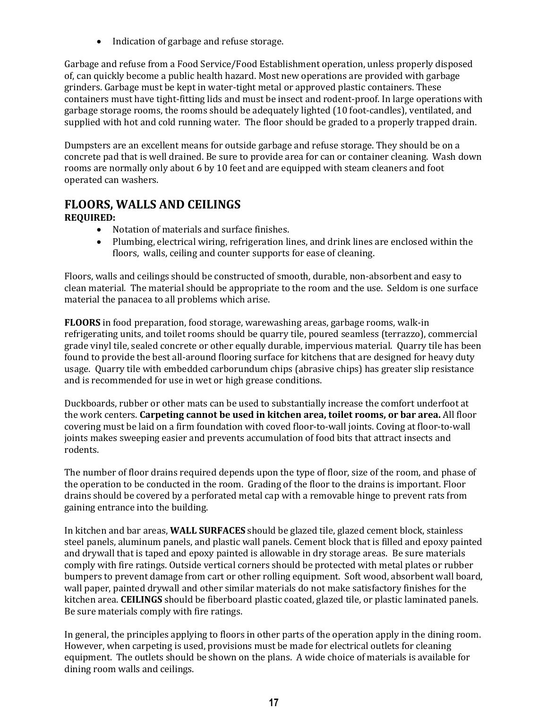• Indication of garbage and refuse storage.

Garbage and refuse from a Food Service/Food Establishment operation, unless properly disposed of, can quickly become a public health hazard. Most new operations are provided with garbage grinders. Garbage must be kept in water-tight metal or approved plastic containers. These containers must have tight-fitting lids and must be insect and rodent-proof. In large operations with garbage storage rooms, the rooms should be adequately lighted (10 foot-candles), ventilated, and supplied with hot and cold running water. The floor should be graded to a properly trapped drain.

Dumpsters are an excellent means for outside garbage and refuse storage. They should be on a concrete pad that is well drained. Be sure to provide area for can or container cleaning. Wash down rooms are normally only about 6 by 10 feet and are equipped with steam cleaners and foot operated can washers.

### **FLOORS, WALLS AND CEILINGS REQUIRED:**

- Notation of materials and surface finishes.
- Plumbing, electrical wiring, refrigeration lines, and drink lines are enclosed within the floors, walls, ceiling and counter supports for ease of cleaning.

Floors, walls and ceilings should be constructed of smooth, durable, non-absorbent and easy to clean material. The material should be appropriate to the room and the use. Seldom is one surface material the panacea to all problems which arise.

**FLOORS** in food preparation, food storage, warewashing areas, garbage rooms, walk-in refrigerating units, and toilet rooms should be quarry tile, poured seamless (terrazzo), commercial grade vinyl tile, sealed concrete or other equally durable, impervious material. Quarry tile has been found to provide the best all-around flooring surface for kitchens that are designed for heavy duty usage. Quarry tile with embedded carborundum chips (abrasive chips) has greater slip resistance and is recommended for use in wet or high grease conditions.

Duckboards, rubber or other mats can be used to substantially increase the comfort underfoot at the work centers. **Carpeting cannot be used in kitchen area, toilet rooms, or bar area.** All floor covering must be laid on a firm foundation with coved floor-to-wall joints. Coving at floor-to-wall joints makes sweeping easier and prevents accumulation of food bits that attract insects and rodents.

The number of floor drains required depends upon the type of floor, size of the room, and phase of the operation to be conducted in the room. Grading of the floor to the drains is important. Floor drains should be covered by a perforated metal cap with a removable hinge to prevent rats from gaining entrance into the building.

In kitchen and bar areas, **WALL SURFACES** should be glazed tile, glazed cement block, stainless steel panels, aluminum panels, and plastic wall panels. Cement block that is filled and epoxy painted and drywall that is taped and epoxy painted is allowable in dry storage areas. Be sure materials comply with fire ratings. Outside vertical corners should be protected with metal plates or rubber bumpers to prevent damage from cart or other rolling equipment. Soft wood, absorbent wall board, wall paper, painted drywall and other similar materials do not make satisfactory finishes for the kitchen area. **CEILINGS** should be fiberboard plastic coated, glazed tile, or plastic laminated panels. Be sure materials comply with fire ratings.

In general, the principles applying to floors in other parts of the operation apply in the dining room. However, when carpeting is used, provisions must be made for electrical outlets for cleaning equipment. The outlets should be shown on the plans. A wide choice of materials is available for dining room walls and ceilings.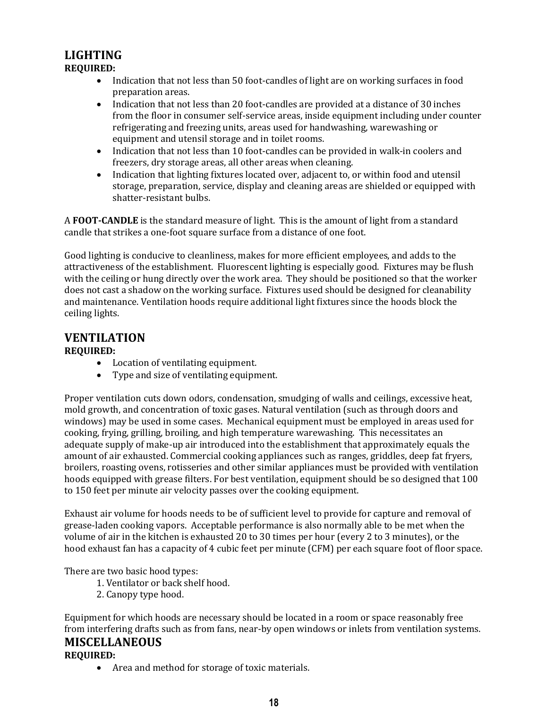### **LIGHTING REQUIRED:**

- Indication that not less than 50 foot-candles of light are on working surfaces in food preparation areas.
- Indication that not less than 20 foot-candles are provided at a distance of 30 inches from the floor in consumer self-service areas, inside equipment including under counter refrigerating and freezing units, areas used for handwashing, warewashing or equipment and utensil storage and in toilet rooms.
- Indication that not less than 10 foot-candles can be provided in walk-in coolers and freezers, dry storage areas, all other areas when cleaning.
- Indication that lighting fixtures located over, adjacent to, or within food and utensil storage, preparation, service, display and cleaning areas are shielded or equipped with shatter-resistant bulbs.

A **FOOT-CANDLE** is the standard measure of light. This is the amount of light from a standard candle that strikes a one-foot square surface from a distance of one foot.

Good lighting is conducive to cleanliness, makes for more efficient employees, and adds to the attractiveness of the establishment. Fluorescent lighting is especially good. Fixtures may be flush with the ceiling or hung directly over the work area. They should be positioned so that the worker does not cast a shadow on the working surface. Fixtures used should be designed for cleanability and maintenance. Ventilation hoods require additional light fixtures since the hoods block the ceiling lights.

# **VENTILATION**

### **REQUIRED:**

- Location of ventilating equipment.
- Type and size of ventilating equipment.

Proper ventilation cuts down odors, condensation, smudging of walls and ceilings, excessive heat, mold growth, and concentration of toxic gases. Natural ventilation (such as through doors and windows) may be used in some cases. Mechanical equipment must be employed in areas used for cooking, frying, grilling, broiling, and high temperature warewashing. This necessitates an adequate supply of make-up air introduced into the establishment that approximately equals the amount of air exhausted. Commercial cooking appliances such as ranges, griddles, deep fat fryers, broilers, roasting ovens, rotisseries and other similar appliances must be provided with ventilation hoods equipped with grease filters. For best ventilation, equipment should be so designed that 100 to 150 feet per minute air velocity passes over the cooking equipment.

Exhaust air volume for hoods needs to be of sufficient level to provide for capture and removal of grease-laden cooking vapors. Acceptable performance is also normally able to be met when the volume of air in the kitchen is exhausted 20 to 30 times per hour (every 2 to 3 minutes), or the hood exhaust fan has a capacity of 4 cubic feet per minute (CFM) per each square foot of floor space.

There are two basic hood types:

- 1. Ventilator or back shelf hood.
- 2. Canopy type hood.

Equipment for which hoods are necessary should be located in a room or space reasonably free from interfering drafts such as from fans, near-by open windows or inlets from ventilation systems.

# **MISCELLANEOUS**

### **REQUIRED:**

Area and method for storage of toxic materials.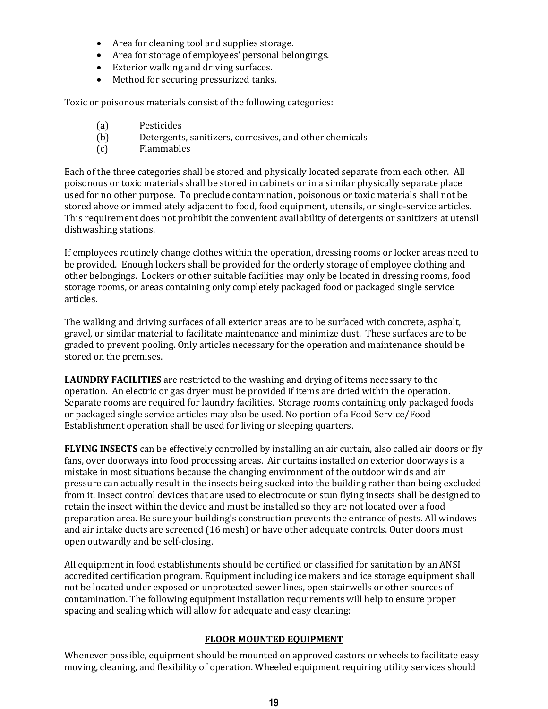- Area for cleaning tool and supplies storage.
- Area for storage of employees' personal belongings.
- Exterior walking and driving surfaces.
- Method for securing pressurized tanks.

Toxic or poisonous materials consist of the following categories:

- (a) Pesticides
- (b) Detergents, sanitizers, corrosives, and other chemicals
- (c) Flammables

Each of the three categories shall be stored and physically located separate from each other. All poisonous or toxic materials shall be stored in cabinets or in a similar physically separate place used for no other purpose. To preclude contamination, poisonous or toxic materials shall not be stored above or immediately adjacent to food, food equipment, utensils, or single-service articles. This requirement does not prohibit the convenient availability of detergents or sanitizers at utensil dishwashing stations.

If employees routinely change clothes within the operation, dressing rooms or locker areas need to be provided. Enough lockers shall be provided for the orderly storage of employee clothing and other belongings. Lockers or other suitable facilities may only be located in dressing rooms, food storage rooms, or areas containing only completely packaged food or packaged single service articles.

The walking and driving surfaces of all exterior areas are to be surfaced with concrete, asphalt, gravel, or similar material to facilitate maintenance and minimize dust. These surfaces are to be graded to prevent pooling. Only articles necessary for the operation and maintenance should be stored on the premises.

**LAUNDRY FACILITIES** are restricted to the washing and drying of items necessary to the operation. An electric or gas dryer must be provided if items are dried within the operation. Separate rooms are required for laundry facilities. Storage rooms containing only packaged foods or packaged single service articles may also be used. No portion of a Food Service/Food Establishment operation shall be used for living or sleeping quarters.

**FLYING INSECTS** can be effectively controlled by installing an air curtain, also called air doors or fly fans, over doorways into food processing areas. Air curtains installed on exterior doorways is a mistake in most situations because the changing environment of the outdoor winds and air pressure can actually result in the insects being sucked into the building rather than being excluded from it. Insect control devices that are used to electrocute or stun flying insects shall be designed to retain the insect within the device and must be installed so they are not located over a food preparation area. Be sure your building's construction prevents the entrance of pests. All windows and air intake ducts are screened (16 mesh) or have other adequate controls. Outer doors must open outwardly and be self-closing.

All equipment in food establishments should be certified or classified for sanitation by an ANSI accredited certification program. Equipment including ice makers and ice storage equipment shall not be located under exposed or unprotected sewer lines, open stairwells or other sources of contamination. The following equipment installation requirements will help to ensure proper spacing and sealing which will allow for adequate and easy cleaning:

### **FLOOR MOUNTED EQUIPMENT**

Whenever possible, equipment should be mounted on approved castors or wheels to facilitate easy moving, cleaning, and flexibility of operation. Wheeled equipment requiring utility services should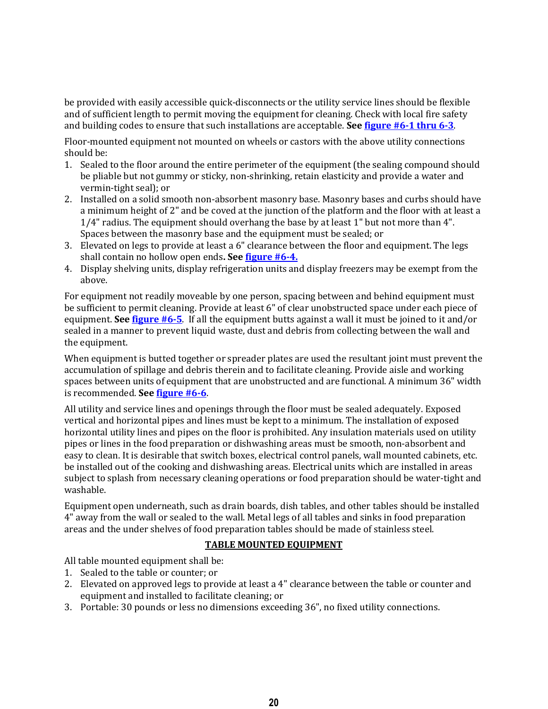be provided with easily accessible quick-disconnects or the utility service lines should be flexible and of sufficient length to permit moving the equipment for cleaning. Check with local fire safety and building codes to ensure that such installations are acceptable. **See [figure #6-1 thru 6-3](http://vm.cfsan.fda.gov/~dms/prev-306.html#fig6-1)**.

Floor-mounted equipment not mounted on wheels or castors with the above utility connections should be:

- 1. Sealed to the floor around the entire perimeter of the equipment (the sealing compound should be pliable but not gummy or sticky, non-shrinking, retain elasticity and provide a water and vermin-tight seal); or
- 2. Installed on a solid smooth non-absorbent masonry base. Masonry bases and curbs should have a minimum height of 2" and be coved at the junction of the platform and the floor with at least a 1/4" radius. The equipment should overhang the base by at least 1" but not more than 4". Spaces between the masonry base and the equipment must be sealed; or
- 3. Elevated on legs to provide at least a 6" clearance between the floor and equipment. The legs shall contain no hollow open ends**. See [figure #6-4.](http://vm.cfsan.fda.gov/~dms/prev-306.html#fig6-4)**
- 4. Display shelving units, display refrigeration units and display freezers may be exempt from the above.

For equipment not readily moveable by one person, spacing between and behind equipment must be sufficient to permit cleaning. Provide at least 6" of clear unobstructed space under each piece of equipment. **Se[e figure #6-5](http://vm.cfsan.fda.gov/~dms/prev-306.html#fig6-5)**. If all the equipment butts against a wall it must be joined to it and/or sealed in a manner to prevent liquid waste, dust and debris from collecting between the wall and the equipment.

When equipment is butted together or spreader plates are used the resultant joint must prevent the accumulation of spillage and debris therein and to facilitate cleaning. Provide aisle and working spaces between units of equipment that are unobstructed and are functional. A minimum 36" width is recommended. **Se[e figure #6-6](http://vm.cfsan.fda.gov/~dms/prev-306.html#fig6-6)**.

All utility and service lines and openings through the floor must be sealed adequately. Exposed vertical and horizontal pipes and lines must be kept to a minimum. The installation of exposed horizontal utility lines and pipes on the floor is prohibited. Any insulation materials used on utility pipes or lines in the food preparation or dishwashing areas must be smooth, non-absorbent and easy to clean. It is desirable that switch boxes, electrical control panels, wall mounted cabinets, etc. be installed out of the cooking and dishwashing areas. Electrical units which are installed in areas subject to splash from necessary cleaning operations or food preparation should be water-tight and washable.

Equipment open underneath, such as drain boards, dish tables, and other tables should be installed 4" away from the wall or sealed to the wall. Metal legs of all tables and sinks in food preparation areas and the under shelves of food preparation tables should be made of stainless steel.

### **TABLE MOUNTED EQUIPMENT**

All table mounted equipment shall be:

- 1. Sealed to the table or counter; or
- 2. Elevated on approved legs to provide at least a 4" clearance between the table or counter and equipment and installed to facilitate cleaning; or
- 3. Portable: 30 pounds or less no dimensions exceeding 36", no fixed utility connections.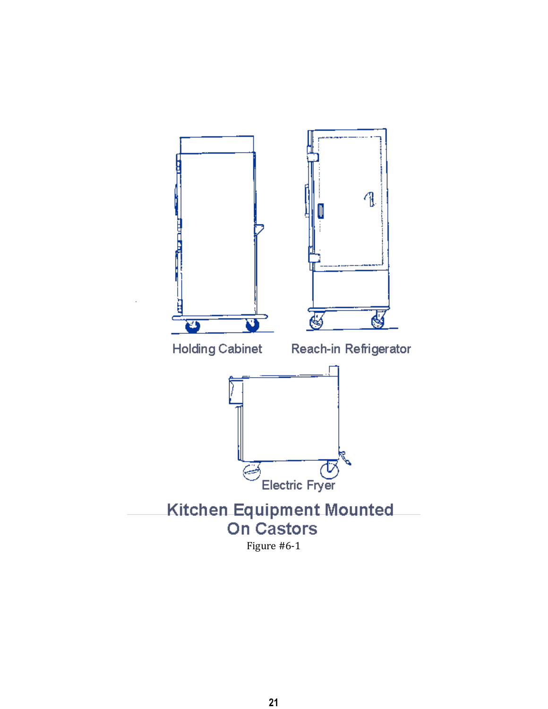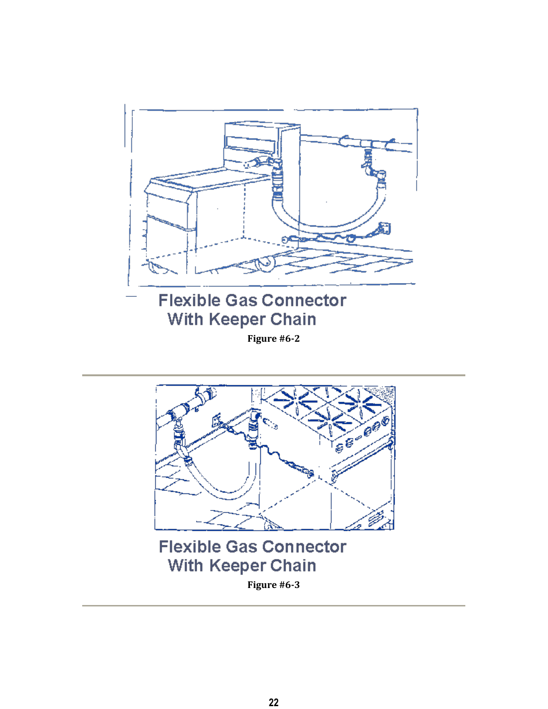



**Figure #6-3**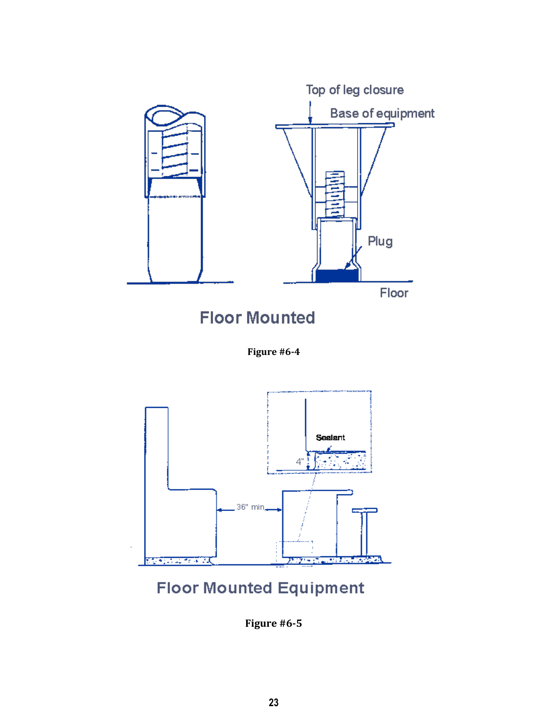

# **Floor Mounted Equipment**

**Figure #6-5**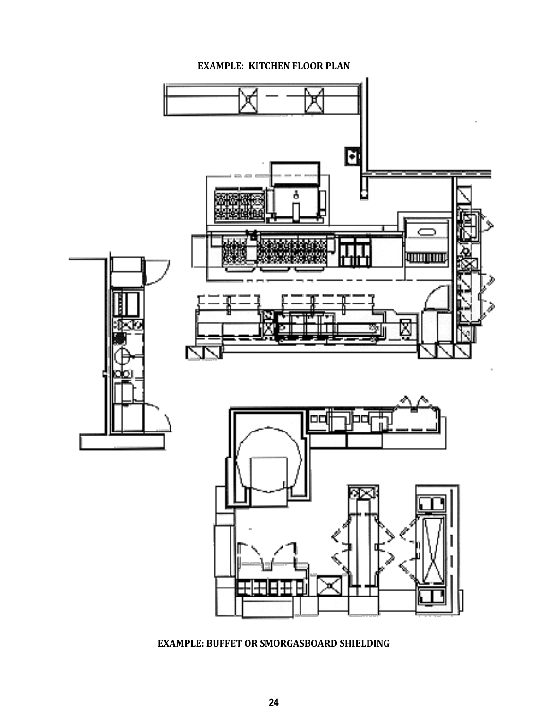

### **EXAMPLE: KITCHEN FLOOR PLAN**

**EXAMPLE: BUFFET OR SMORGASBOARD SHIELDING**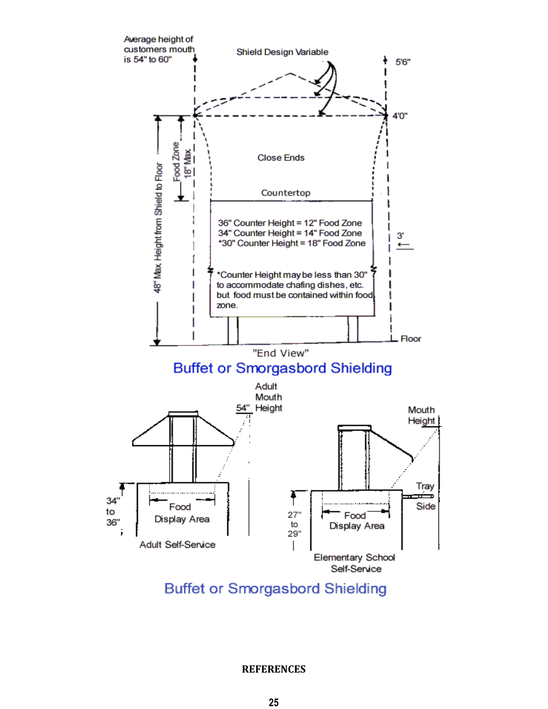

**Buffet or Smorgasbord Shielding** 

**REFERENCES**